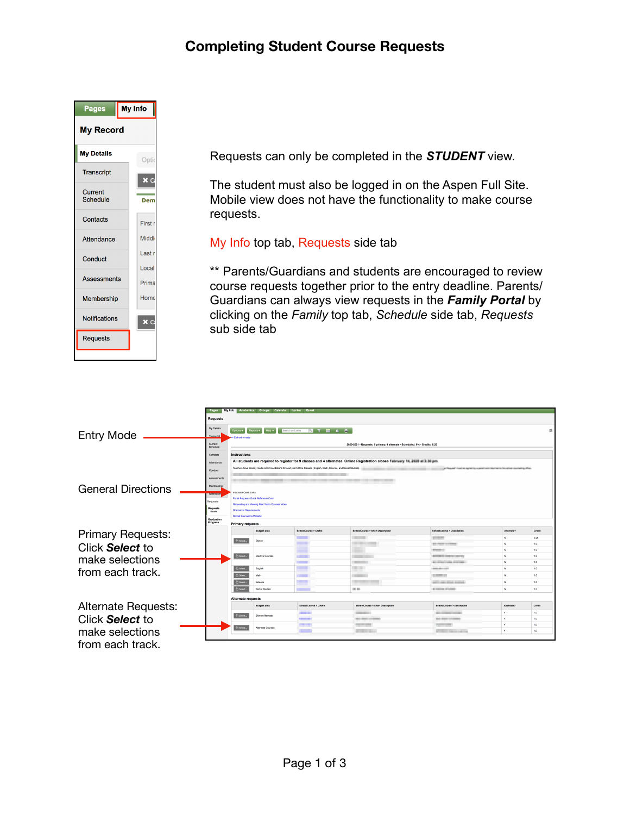## **Completing Student Course Requests**



Requests can only be completed in the *STUDENT* view.

The student must also be logged in on the Aspen Full Site. Mobile view does not have the functionality to make course requests.

My Info top tab, Requests side tab

\*\* Parents/Guardians and students are encouraged to review course requests together prior to the entry deadline. Parents/ Guardians can always view requests in the *Family Portal* by clicking on the *Family* top tab, *Schedule* side tab, *Requests* sub side tab

|                            |                            | My hfo Academics Groups Calendar Locker Quest                                                                                                                                                                                                                                                                                                      |                          |                                            |                                                     |                          |            |  |  |  |  |  |  |
|----------------------------|----------------------------|----------------------------------------------------------------------------------------------------------------------------------------------------------------------------------------------------------------------------------------------------------------------------------------------------------------------------------------------------|--------------------------|--------------------------------------------|-----------------------------------------------------|--------------------------|------------|--|--|--|--|--|--|
|                            | <b>Requests</b>            |                                                                                                                                                                                                                                                                                                                                                    |                          |                                            |                                                     |                          |            |  |  |  |  |  |  |
| <b>Entry Mode</b>          | My Details                 | <b>STILE</b><br>Options +<br>Reports +<br>Search on CrsNo<br>因<br><b>Exit write mode</b>                                                                                                                                                                                                                                                           |                          |                                            |                                                     |                          |            |  |  |  |  |  |  |
|                            | Current<br>Schedule        | 2020-2021 - Requests: 9 primary, 4 alternate - Scheduled: 0% - Credits: 8.25                                                                                                                                                                                                                                                                       |                          |                                            |                                                     |                          |            |  |  |  |  |  |  |
|                            | Contacts                   | <b>Instructions</b>                                                                                                                                                                                                                                                                                                                                |                          |                                            |                                                     |                          |            |  |  |  |  |  |  |
|                            | Attendance                 | All students are required to register for 9 classes and 4 alternates. Online Registration closes Fallowary HI. 2020 at 3:30 pm.<br>Teachers have already made recommendations for next year's Core Classes (English, Math, Science, and Social Studies).<br>at This and I had to appear to a particular that he is not be about a collecting of an |                          |                                            |                                                     |                          |            |  |  |  |  |  |  |
|                            | Conduct                    |                                                                                                                                                                                                                                                                                                                                                    |                          |                                            |                                                     |                          |            |  |  |  |  |  |  |
|                            |                            |                                                                                                                                                                                                                                                                                                                                                    |                          |                                            |                                                     |                          |            |  |  |  |  |  |  |
|                            | Assessments                |                                                                                                                                                                                                                                                                                                                                                    |                          |                                            |                                                     |                          |            |  |  |  |  |  |  |
| <b>General Directions</b>  |                            | Membership                                                                                                                                                                                                                                                                                                                                         |                          |                                            |                                                     |                          |            |  |  |  |  |  |  |
|                            | Notication                 | moortant Quick Links:<br>Portal Requests Quick Reference Card                                                                                                                                                                                                                                                                                      |                          |                                            |                                                     |                          |            |  |  |  |  |  |  |
|                            | Requests                   | Requesting and Viewing Next Year's Courses Video                                                                                                                                                                                                                                                                                                   |                          |                                            |                                                     |                          |            |  |  |  |  |  |  |
|                            | Requests<br><b>Details</b> | <b>Graduation Requirements</b>                                                                                                                                                                                                                                                                                                                     |                          |                                            |                                                     |                          |            |  |  |  |  |  |  |
|                            |                            | School Counseling Website                                                                                                                                                                                                                                                                                                                          |                          |                                            |                                                     |                          |            |  |  |  |  |  |  |
|                            | Graduation<br>Progress     | <b>Primary requests</b>                                                                                                                                                                                                                                                                                                                            |                          |                                            |                                                     |                          |            |  |  |  |  |  |  |
| <b>Primary Requests:</b>   |                            | <b>Subject area</b>                                                                                                                                                                                                                                                                                                                                | SchoolCourse > CraNo     | SchoolCourse > Short Description           | SchoolCourse > Description                          | Alternate?               | Credit     |  |  |  |  |  |  |
|                            |                            | <b>C</b> Select<br>Skinny                                                                                                                                                                                                                                                                                                                          | <b>TELESCO</b>           | <b>College College</b>                     | $-111$                                              | $\mathbf{M}$             | 0.25       |  |  |  |  |  |  |
| Click Select to            |                            |                                                                                                                                                                                                                                                                                                                                                    | <b>TELESCO</b>           |                                            | <b>BE FROM LIGHTER</b>                              | $\overline{\mathbf{M}}$  | 1.0        |  |  |  |  |  |  |
|                            |                            | Select<br><b>Electve Courses</b>                                                                                                                                                                                                                                                                                                                   |                          | . .                                        | <b>STATE OF</b><br><b>BUILDER COMMERCIAL REPORT</b> | $\mathbf{N}$<br><b>M</b> | 1.0<br>1.0 |  |  |  |  |  |  |
| make selections            |                            |                                                                                                                                                                                                                                                                                                                                                    | $\overline{\phantom{a}}$ | <b>STATE OF ALL</b><br><b>COLOR</b>        | <b>Microsoft Ladies Andrews</b>                     | <b>M</b>                 | 1.0        |  |  |  |  |  |  |
|                            |                            | & Select<br>English                                                                                                                                                                                                                                                                                                                                | <b>The Co</b>            |                                            | <b>DOM BALLAST</b>                                  | $\overline{\mathbf{M}}$  | 1.0        |  |  |  |  |  |  |
| from each track.           |                            | ch Select.<br>Math                                                                                                                                                                                                                                                                                                                                 | <b>BRIDGE</b>            |                                            | <b>SCHOOL CO.</b>                                   | $\boldsymbol{\kappa}$    | 1.0        |  |  |  |  |  |  |
|                            |                            | <b>Co</b> Select<br>Science                                                                                                                                                                                                                                                                                                                        |                          |                                            | and in a part defends an excess                     | <b>M</b>                 | 1.0        |  |  |  |  |  |  |
|                            |                            | Social Studies<br><b>Co Select</b>                                                                                                                                                                                                                                                                                                                 |                          | 10.55                                      | <b>BUSINESS STARRS</b>                              | N.                       | 1.0        |  |  |  |  |  |  |
|                            |                            | <b>Alternate requests</b>                                                                                                                                                                                                                                                                                                                          |                          |                                            |                                                     |                          |            |  |  |  |  |  |  |
| <b>Alternate Requests:</b> |                            | <b>Subject area</b>                                                                                                                                                                                                                                                                                                                                | SchoolCourse > CraNo     | <b>SchoolCourse &gt; Short Description</b> | <b>SchoolCourse &gt; Description</b>                | Alternate?               | Credit     |  |  |  |  |  |  |
|                            |                            |                                                                                                                                                                                                                                                                                                                                                    | -                        | <b>CONTRACTOR</b>                          | <b>BELL-STORIES CONTINUE</b>                        | ×.                       | 1.0        |  |  |  |  |  |  |
| Click <b>Select</b> to     |                            | <b>Ch Select</b><br>Skinny Alternate                                                                                                                                                                                                                                                                                                               | -                        | <b>BUSINESS COMPANY</b>                    | <b>BOTH COLLEGE</b>                                 | ×                        | 1.0        |  |  |  |  |  |  |
|                            |                            | di select.<br><b>Atemate Courses</b>                                                                                                                                                                                                                                                                                                               | ---                      | <b>PERSONAL PROPERTY</b>                   | <b>Contract Contract</b>                            | $\sim$                   | 1.0        |  |  |  |  |  |  |
| make selections            |                            |                                                                                                                                                                                                                                                                                                                                                    |                          | <b>COLLEGE</b>                             | <b>CONTRACTOR</b>                                   | ×                        | 1,0        |  |  |  |  |  |  |
|                            |                            |                                                                                                                                                                                                                                                                                                                                                    |                          |                                            |                                                     |                          |            |  |  |  |  |  |  |
| from each track.           |                            |                                                                                                                                                                                                                                                                                                                                                    |                          |                                            |                                                     |                          |            |  |  |  |  |  |  |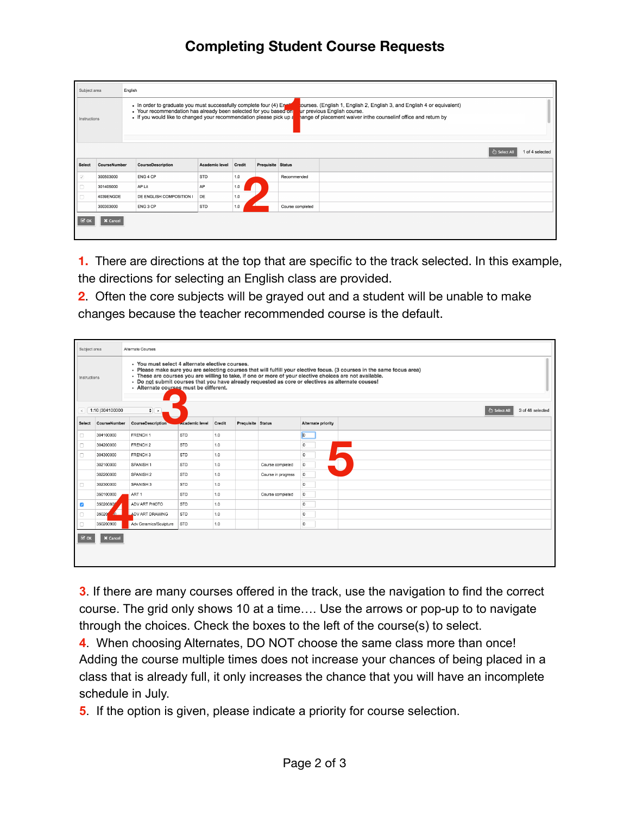## **Completing Student Course Requests**

| Subject area                                                                                                                                                                                                                                                                                                                                                                                               |              | English                  |                |        |                   |                                |  |  |  |  |
|------------------------------------------------------------------------------------------------------------------------------------------------------------------------------------------------------------------------------------------------------------------------------------------------------------------------------------------------------------------------------------------------------------|--------------|--------------------------|----------------|--------|-------------------|--------------------------------|--|--|--|--|
| . In order to graduate you must successfully complete four (4) Ener<br>ourses. (English 1, English 2, English 3, and English 4 or equivalent)<br>• Your recommendation has already been selected for you based on<br>ur previous English course.<br>• If you would like to changed your recommendation please pick up a<br>hange of placement waiver inthe counselinf office and return by<br>Instructions |              |                          |                |        |                   |                                |  |  |  |  |
|                                                                                                                                                                                                                                                                                                                                                                                                            |              |                          |                |        |                   |                                |  |  |  |  |
|                                                                                                                                                                                                                                                                                                                                                                                                            |              |                          |                |        |                   | 1 of 4 selected<br>○ Select Al |  |  |  |  |
| <b>Select</b>                                                                                                                                                                                                                                                                                                                                                                                              | CourseNumber | <b>CourseDescription</b> | Academic level | Credit | Prequisite Status |                                |  |  |  |  |
|                                                                                                                                                                                                                                                                                                                                                                                                            | 300503000    | ENG 4 CP                 | STD            | 1.0    |                   | Recommended                    |  |  |  |  |
| $\begin{tabular}{ c c c c c } \hline \rule{0pt}{8ex} & $\otimes$ & $\end{tabular}$                                                                                                                                                                                                                                                                                                                         | 301405000    | AP Lit                   | <b>AP</b>      | 1.0    |                   |                                |  |  |  |  |
|                                                                                                                                                                                                                                                                                                                                                                                                            | 4039ENGDE    | DE ENGLISH COMPOSITION I | DE             | 1.0    |                   |                                |  |  |  |  |
|                                                                                                                                                                                                                                                                                                                                                                                                            | 300303000    | ENG 3 CP                 | STD            | 1.0    |                   | Course completed               |  |  |  |  |
| $\mathbb{Z}$ ok                                                                                                                                                                                                                                                                                                                                                                                            | X Cancel     |                          |                |        |                   |                                |  |  |  |  |

**1.** There are directions at the top that are specific to the track selected. In this example, the directions for selecting an English class are provided.

**2**. Often the core subjects will be grayed out and a student will be unable to make changes because the teacher recommended course is the default.

| Subject area                                                                                                                                                                                                                                                                                                                                                                                                                                        |                 | Alternate Courses      |               |        |                   |                    |                    |  |  |  |  |
|-----------------------------------------------------------------------------------------------------------------------------------------------------------------------------------------------------------------------------------------------------------------------------------------------------------------------------------------------------------------------------------------------------------------------------------------------------|-----------------|------------------------|---------------|--------|-------------------|--------------------|--------------------|--|--|--|--|
| · You must select 4 alternate elective courses.<br>· Please make sure you are selecting courses that will fulfill your elective focus. (3 courses in the same focus area)<br>· These are courses you are willing to take, if one or more of your elective choices are not available.<br>Instructions<br>. Do not submit courses that you have already requested as core or electives as alternate couses!<br>· Alternate courses must be different. |                 |                        |               |        |                   |                    |                    |  |  |  |  |
| 1:10  304100000<br>$\frac{1}{2}$ $\rightarrow$<br>3 of 48 selected<br>ी Select All<br>$\epsilon$                                                                                                                                                                                                                                                                                                                                                    |                 |                        |               |        |                   |                    |                    |  |  |  |  |
| Select                                                                                                                                                                                                                                                                                                                                                                                                                                              | CourseNumber    | CourseDescription      | cademic level | Credit | Prequisite Status |                    | Alternate priority |  |  |  |  |
| $\Box$                                                                                                                                                                                                                                                                                                                                                                                                                                              | 304100000       | FRENCH <sub>1</sub>    | STD           | 1.0    |                   |                    |                    |  |  |  |  |
| $\Box$                                                                                                                                                                                                                                                                                                                                                                                                                                              | 304200000       | FRENCH <sub>2</sub>    | STD           | 1.0    |                   |                    | $\circ$            |  |  |  |  |
| $\Box$                                                                                                                                                                                                                                                                                                                                                                                                                                              | 304300000       | FRENCH 3               | STD           | 1.0    |                   |                    | $\circ$            |  |  |  |  |
|                                                                                                                                                                                                                                                                                                                                                                                                                                                     | 302100000       | SPANISH <sub>1</sub>   | STD           | 1.0    |                   | Course completed   | $\mathbf{0}$       |  |  |  |  |
|                                                                                                                                                                                                                                                                                                                                                                                                                                                     | 302200000       | SPANISH <sub>2</sub>   | STD           | 1.0    |                   | Course in progress | $\circ$            |  |  |  |  |
| $\Box$                                                                                                                                                                                                                                                                                                                                                                                                                                              | 302300000       | SPANISH <sub>3</sub>   | STD           | 1.0    |                   |                    | $\circ$            |  |  |  |  |
|                                                                                                                                                                                                                                                                                                                                                                                                                                                     | 350100000       | ART <sub>1</sub>       | STD           | 1.0    |                   | Course completed   | $\circ$            |  |  |  |  |
| $\overline{\mathcal{L}}$                                                                                                                                                                                                                                                                                                                                                                                                                            | 350200800       | ADV ART PHOTO          | STD           | 1.0    |                   |                    | $\circ$            |  |  |  |  |
| n                                                                                                                                                                                                                                                                                                                                                                                                                                                   | 350200          | <b>ADV ART DRAWING</b> | STD           | 1.0    |                   |                    | $\circ$            |  |  |  |  |
| n                                                                                                                                                                                                                                                                                                                                                                                                                                                   | 350200900       | Adv Ceramics/Sculpture | STD           | 1.0    |                   |                    | $\circ$            |  |  |  |  |
| $\mathbb{Z}$ ok                                                                                                                                                                                                                                                                                                                                                                                                                                     | <b>X</b> Cancel |                        |               |        |                   |                    |                    |  |  |  |  |
|                                                                                                                                                                                                                                                                                                                                                                                                                                                     |                 |                        |               |        |                   |                    |                    |  |  |  |  |

**3**. If there are many courses offered in the track, use the navigation to find the correct course. The grid only shows 10 at a time…. Use the arrows or pop-up to to navigate through the choices. Check the boxes to the left of the course(s) to select.

**4**. When choosing Alternates, DO NOT choose the same class more than once! Adding the course multiple times does not increase your chances of being placed in a class that is already full, it only increases the chance that you will have an incomplete schedule in July.

**5**. If the option is given, please indicate a priority for course selection.